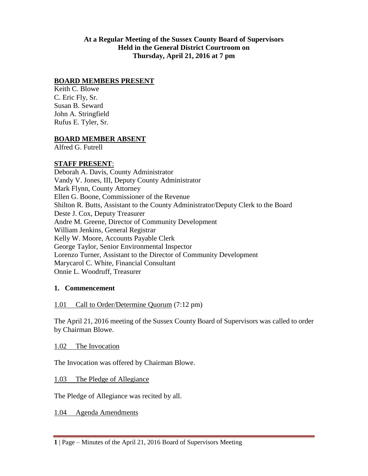#### **At a Regular Meeting of the Sussex County Board of Supervisors Held in the General District Courtroom on Thursday, April 21, 2016 at 7 pm**

#### **BOARD MEMBERS PRESENT**

Keith C. Blowe C. Eric Fly, Sr. Susan B. Seward John A. Stringfield Rufus E. Tyler, Sr.

#### **BOARD MEMBER ABSENT**

Alfred G. Futrell

#### **STAFF PRESENT**:

Deborah A. Davis, County Administrator Vandy V. Jones, III, Deputy County Administrator Mark Flynn, County Attorney Ellen G. Boone, Commissioner of the Revenue Shilton R. Butts, Assistant to the County Administrator/Deputy Clerk to the Board Deste J. Cox, Deputy Treasurer Andre M. Greene, Director of Community Development William Jenkins, General Registrar Kelly W. Moore, Accounts Payable Clerk George Taylor, Senior Environmental Inspector Lorenzo Turner, Assistant to the Director of Community Development Marycarol C. White, Financial Consultant Onnie L. Woodruff, Treasurer

#### **1. Commencement**

#### 1.01 Call to Order/Determine Quorum (7:12 pm)

The April 21, 2016 meeting of the Sussex County Board of Supervisors was called to order by Chairman Blowe.

1.02 The Invocation

The Invocation was offered by Chairman Blowe.

1.03 The Pledge of Allegiance

The Pledge of Allegiance was recited by all.

1.04 Agenda Amendments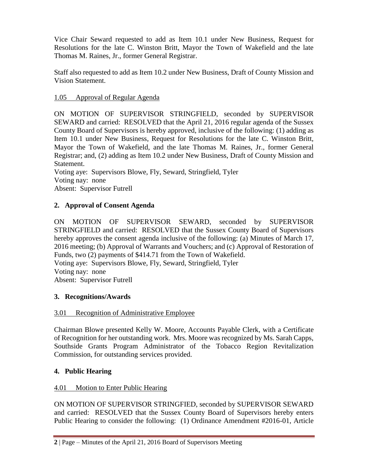Vice Chair Seward requested to add as Item 10.1 under New Business, Request for Resolutions for the late C. Winston Britt, Mayor the Town of Wakefield and the late Thomas M. Raines, Jr., former General Registrar.

Staff also requested to add as Item 10.2 under New Business, Draft of County Mission and Vision Statement.

# 1.05 Approval of Regular Agenda

ON MOTION OF SUPERVISOR STRINGFIELD, seconded by SUPERVISOR SEWARD and carried: RESOLVED that the April 21, 2016 regular agenda of the Sussex County Board of Supervisors is hereby approved, inclusive of the following: (1) adding as Item 10.1 under New Business, Request for Resolutions for the late C. Winston Britt, Mayor the Town of Wakefield, and the late Thomas M. Raines, Jr., former General Registrar; and, (2) adding as Item 10.2 under New Business, Draft of County Mission and Statement.

Voting aye: Supervisors Blowe, Fly, Seward, Stringfield, Tyler Voting nay: none Absent: Supervisor Futrell

# **2. Approval of Consent Agenda**

ON MOTION OF SUPERVISOR SEWARD, seconded by SUPERVISOR STRINGFIELD and carried: RESOLVED that the Sussex County Board of Supervisors hereby approves the consent agenda inclusive of the following: (a) Minutes of March 17, 2016 meeting; (b) Approval of Warrants and Vouchers; and (c) Approval of Restoration of Funds, two (2) payments of \$414.71 from the Town of Wakefield. Voting aye: Supervisors Blowe, Fly, Seward, Stringfield, Tyler Voting nay: none Absent: Supervisor Futrell

## **3. Recognitions/Awards**

## 3.01 Recognition of Administrative Employee

Chairman Blowe presented Kelly W. Moore, Accounts Payable Clerk, with a Certificate of Recognition for her outstanding work. Mrs. Moore was recognized by Ms. Sarah Capps, Southside Grants Program Administrator of the Tobacco Region Revitalization Commission, for outstanding services provided.

## **4. Public Hearing**

## 4.01 Motion to Enter Public Hearing

ON MOTION OF SUPERVISOR STRINGFIED, seconded by SUPERVISOR SEWARD and carried: RESOLVED that the Sussex County Board of Supervisors hereby enters Public Hearing to consider the following: (1) Ordinance Amendment #2016-01, Article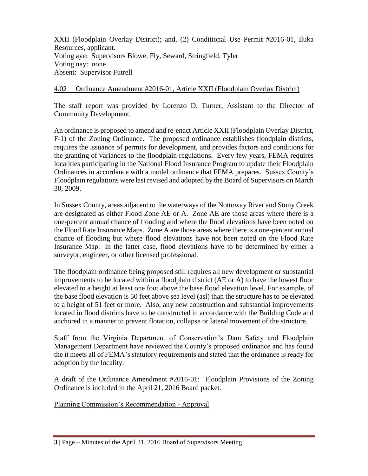XXII (Floodplain Overlay District); and, (2) Conditional Use Permit #2016-01, Iluka Resources, applicant. Voting aye: Supervisors Blowe, Fly, Seward, Stringfield, Tyler Voting nay: none Absent: Supervisor Futrell

# 4.02 Ordinance Amendment #2016-01, Article XXII (Floodplain Overlay District)

The staff report was provided by Lorenzo D. Turner, Assistant to the Director of Community Development.

An ordinance is proposed to amend and re-enact Article XXII (Floodplain Overlay District, F-1) of the Zoning Ordinance. The proposed ordinance establishes floodplain districts, requires the issuance of permits for development, and provides factors and conditions for the granting of variances to the floodplain regulations. Every few years, FEMA requires localities participating in the National Flood Insurance Program to update their Floodplain Ordinances in accordance with a model ordinance that FEMA prepares. Sussex County's Floodplain regulations were last revised and adopted by the Board of Supervisors on March 30, 2009.

In Sussex County, areas adjacent to the waterways of the Nottoway River and Stony Creek are designated as either Flood Zone AE or A. Zone AE are those areas where there is a one-percent annual chance of flooding and where the flood elevations have been noted on the Flood Rate Insurance Maps. Zone A are those areas where there is a one-percent annual chance of flooding but where flood elevations have not been noted on the Flood Rate Insurance Map. In the latter case, flood elevations have to be determined by either a surveyor, engineer, or other licensed professional.

The floodplain ordinance being proposed still requires all new development or substantial improvements to be located within a floodplain district (AE or A) to have the lowest floor elevated to a height at least one foot above the base flood elevation level. For example, of the base flood elevation is 50 feet above sea level (asl) than the structure has to be elevated to a height of 51 feet or more. Also, any new construction and substantial improvements located in flood districts have to be constructed in accordance with the Building Code and anchored in a manner to prevent flotation, collapse or lateral movement of the structure.

Staff from the Virginia Department of Conservation's Dam Safety and Floodplain Management Department have reviewed the County's proposed ordinance and has found the it meets all of FEMA's statutory requirements and stated that the ordinance is ready for adoption by the locality.

A draft of the Ordinance Amendment #2016-01: Floodplain Provisions of the Zoning Ordinance is included in the April 21, 2016 Board packet.

Planning Commission's Recommendation - Approval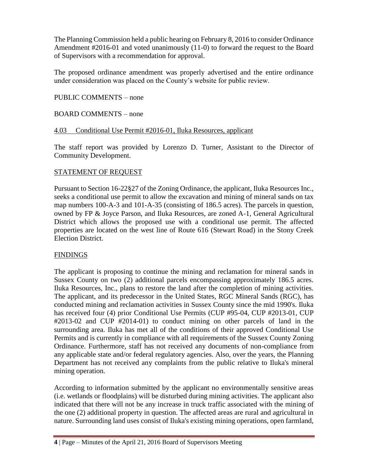The Planning Commission held a public hearing on February 8, 2016 to consider Ordinance Amendment #2016-01 and voted unanimously (11-0) to forward the request to the Board of Supervisors with a recommendation for approval.

The proposed ordinance amendment was properly advertised and the entire ordinance under consideration was placed on the County's website for public review.

#### PUBLIC COMMENTS – none

#### BOARD COMMENTS – none

#### 4.03 Conditional Use Permit #2016-01, Iluka Resources, applicant

The staff report was provided by Lorenzo D. Turner, Assistant to the Director of Community Development.

#### STATEMENT OF REQUEST

Pursuant to Section 16-22§27 of the Zoning Ordinance, the applicant, Iluka Resources Inc., seeks a conditional use permit to allow the excavation and mining of mineral sands on tax map numbers 100-A-3 and 101-A-35 (consisting of 186.5 acres). The parcels in question, owned by FP & Joyce Parson, and Iluka Resources, are zoned A-1, General Agricultural District which allows the proposed use with a conditional use permit. The affected properties are located on the west line of Route 616 (Stewart Road) in the Stony Creek Election District.

## **FINDINGS**

The applicant is proposing to continue the mining and reclamation for mineral sands in Sussex County on two (2) additional parcels encompassing approximately 186.5 acres. Iluka Resources, Inc., plans to restore the land after the completion of mining activities. The applicant, and its predecessor in the United States, RGC Mineral Sands (RGC), has conducted mining and reclamation activities in Sussex County since the mid 1990's. Iluka has received four (4) prior Conditional Use Permits (CUP #95-04, CUP #2013-01, CUP #2013-02 and CUP #2014-01) to conduct mining on other parcels of land in the surrounding area. Iluka has met all of the conditions of their approved Conditional Use Permits and is currently in compliance with all requirements of the Sussex County Zoning Ordinance. Furthermore, staff has not received any documents of non-compliance from any applicable state and/or federal regulatory agencies. Also, over the years, the Planning Department has not received any complaints from the public relative to Iluka's mineral mining operation.

According to information submitted by the applicant no environmentally sensitive areas (i.e. wetlands or floodplains) will be disturbed during mining activities. The applicant also indicated that there will not be any increase in truck traffic associated with the mining of the one (2) additional property in question. The affected areas are rural and agricultural in nature. Surrounding land uses consist of Iluka's existing mining operations, open farmland,

**<sup>4</sup>** | Page – Minutes of the April 21, 2016 Board of Supervisors Meeting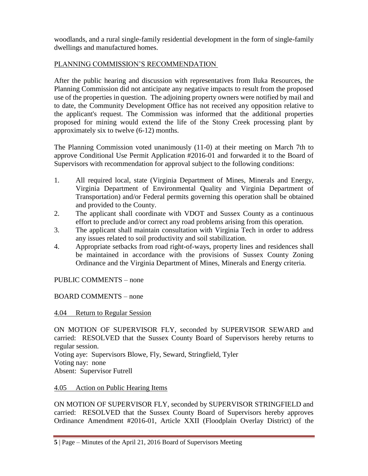woodlands, and a rural single-family residential development in the form of single-family dwellings and manufactured homes.

# PLANNING COMMISSION'S RECOMMENDATION

After the public hearing and discussion with representatives from Iluka Resources, the Planning Commission did not anticipate any negative impacts to result from the proposed use of the properties in question. The adjoining property owners were notified by mail and to date, the Community Development Office has not received any opposition relative to the applicant's request. The Commission was informed that the additional properties proposed for mining would extend the life of the Stony Creek processing plant by approximately six to twelve (6-12) months.

The Planning Commission voted unanimously (11-0) at their meeting on March 7th to approve Conditional Use Permit Application #2016-01 and forwarded it to the Board of Supervisors with recommendation for approval subject to the following conditions:

- 1. All required local, state (Virginia Department of Mines, Minerals and Energy, Virginia Department of Environmental Quality and Virginia Department of Transportation) and/or Federal permits governing this operation shall be obtained and provided to the County.
- 2. The applicant shall coordinate with VDOT and Sussex County as a continuous effort to preclude and/or correct any road problems arising from this operation.
- 3. The applicant shall maintain consultation with Virginia Tech in order to address any issues related to soil productivity and soil stabilization.
- 4. Appropriate setbacks from road right-of-ways, property lines and residences shall be maintained in accordance with the provisions of Sussex County Zoning Ordinance and the Virginia Department of Mines, Minerals and Energy criteria.

PUBLIC COMMENTS – none

BOARD COMMENTS – none

## 4.04 Return to Regular Session

ON MOTION OF SUPERVISOR FLY, seconded by SUPERVISOR SEWARD and carried: RESOLVED that the Sussex County Board of Supervisors hereby returns to regular session. Voting aye: Supervisors Blowe, Fly, Seward, Stringfield, Tyler Voting nay: none

Absent: Supervisor Futrell

## 4.05 Action on Public Hearing Items

ON MOTION OF SUPERVISOR FLY, seconded by SUPERVISOR STRINGFIELD and carried: RESOLVED that the Sussex County Board of Supervisors hereby approves Ordinance Amendment #2016-01, Article XXII (Floodplain Overlay District) of the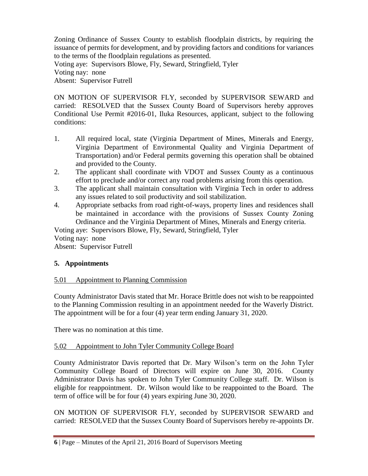Zoning Ordinance of Sussex County to establish floodplain districts, by requiring the issuance of permits for development, and by providing factors and conditions for variances to the terms of the floodplain regulations as presented. Voting aye: Supervisors Blowe, Fly, Seward, Stringfield, Tyler Voting nay: none Absent: Supervisor Futrell

ON MOTION OF SUPERVISOR FLY, seconded by SUPERVISOR SEWARD and carried: RESOLVED that the Sussex County Board of Supervisors hereby approves Conditional Use Permit #2016-01, Iluka Resources, applicant, subject to the following conditions:

- 1. All required local, state (Virginia Department of Mines, Minerals and Energy, Virginia Department of Environmental Quality and Virginia Department of Transportation) and/or Federal permits governing this operation shall be obtained and provided to the County.
- 2. The applicant shall coordinate with VDOT and Sussex County as a continuous effort to preclude and/or correct any road problems arising from this operation.
- 3. The applicant shall maintain consultation with Virginia Tech in order to address any issues related to soil productivity and soil stabilization.
- 4. Appropriate setbacks from road right-of-ways, property lines and residences shall be maintained in accordance with the provisions of Sussex County Zoning Ordinance and the Virginia Department of Mines, Minerals and Energy criteria.

Voting aye: Supervisors Blowe, Fly, Seward, Stringfield, Tyler Voting nay: none Absent: Supervisor Futrell

# **5. Appointments**

# 5.01 Appointment to Planning Commission

County Administrator Davis stated that Mr. Horace Brittle does not wish to be reappointed to the Planning Commission resulting in an appointment needed for the Waverly District. The appointment will be for a four (4) year term ending January 31, 2020.

There was no nomination at this time.

# 5.02 Appointment to John Tyler Community College Board

County Administrator Davis reported that Dr. Mary Wilson's term on the John Tyler Community College Board of Directors will expire on June 30, 2016. County Administrator Davis has spoken to John Tyler Community College staff. Dr. Wilson is eligible for reappointment. Dr. Wilson would like to be reappointed to the Board. The term of office will be for four (4) years expiring June 30, 2020.

ON MOTION OF SUPERVISOR FLY, seconded by SUPERVISOR SEWARD and carried: RESOLVED that the Sussex County Board of Supervisors hereby re-appoints Dr.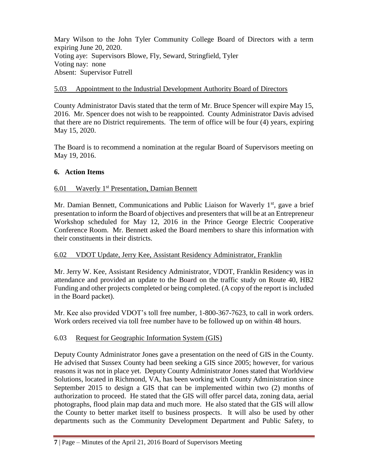Mary Wilson to the John Tyler Community College Board of Directors with a term expiring June 20, 2020. Voting aye: Supervisors Blowe, Fly, Seward, Stringfield, Tyler Voting nay: none Absent: Supervisor Futrell

## 5.03 Appointment to the Industrial Development Authority Board of Directors

County Administrator Davis stated that the term of Mr. Bruce Spencer will expire May 15, 2016. Mr. Spencer does not wish to be reappointed. County Administrator Davis advised that there are no District requirements. The term of office will be four (4) years, expiring May 15, 2020.

The Board is to recommend a nomination at the regular Board of Supervisors meeting on May 19, 2016.

# **6. Action Items**

# 6.01 Waverly 1st Presentation, Damian Bennett

Mr. Damian Bennett, Communications and Public Liaison for Waverly 1<sup>st</sup>, gave a brief presentation to inform the Board of objectives and presenters that will be at an Entrepreneur Workshop scheduled for May 12, 2016 in the Prince George Electric Cooperative Conference Room. Mr. Bennett asked the Board members to share this information with their constituents in their districts.

## 6.02 VDOT Update, Jerry Kee, Assistant Residency Administrator, Franklin

Mr. Jerry W. Kee, Assistant Residency Administrator, VDOT, Franklin Residency was in attendance and provided an update to the Board on the traffic study on Route 40, HB2 Funding and other projects completed or being completed. (A copy of the report is included in the Board packet).

Mr. Kee also provided VDOT's toll free number, 1-800-367-7623, to call in work orders. Work orders received via toll free number have to be followed up on within 48 hours.

## 6.03 Request for Geographic Information System (GIS)

Deputy County Administrator Jones gave a presentation on the need of GIS in the County. He advised that Sussex County had been seeking a GIS since 2005; however, for various reasons it was not in place yet. Deputy County Administrator Jones stated that Worldview Solutions, located in Richmond, VA, has been working with County Administration since September 2015 to design a GIS that can be implemented within two (2) months of authorization to proceed. He stated that the GIS will offer parcel data, zoning data, aerial photographs, flood plain map data and much more. He also stated that the GIS will allow the County to better market itself to business prospects. It will also be used by other departments such as the Community Development Department and Public Safety, to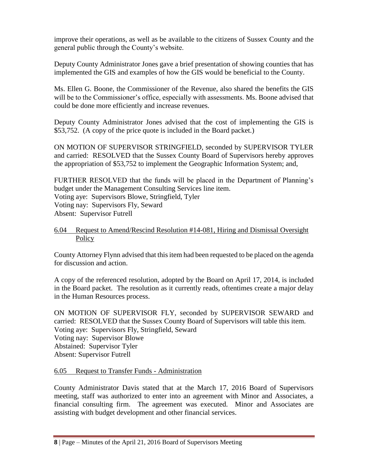improve their operations, as well as be available to the citizens of Sussex County and the general public through the County's website.

Deputy County Administrator Jones gave a brief presentation of showing counties that has implemented the GIS and examples of how the GIS would be beneficial to the County.

Ms. Ellen G. Boone, the Commissioner of the Revenue, also shared the benefits the GIS will be to the Commissioner's office, especially with assessments. Ms. Boone advised that could be done more efficiently and increase revenues.

Deputy County Administrator Jones advised that the cost of implementing the GIS is \$53,752. (A copy of the price quote is included in the Board packet.)

ON MOTION OF SUPERVISOR STRINGFIELD, seconded by SUPERVISOR TYLER and carried: RESOLVED that the Sussex County Board of Supervisors hereby approves the appropriation of \$53,752 to implement the Geographic Information System; and,

FURTHER RESOLVED that the funds will be placed in the Department of Planning's budget under the Management Consulting Services line item. Voting aye: Supervisors Blowe, Stringfield, Tyler Voting nay: Supervisors Fly, Seward Absent: Supervisor Futrell

#### 6.04 Request to Amend/Rescind Resolution #14-081, Hiring and Dismissal Oversight Policy

County Attorney Flynn advised that this item had been requested to be placed on the agenda for discussion and action.

A copy of the referenced resolution, adopted by the Board on April 17, 2014, is included in the Board packet. The resolution as it currently reads, oftentimes create a major delay in the Human Resources process.

ON MOTION OF SUPERVISOR FLY, seconded by SUPERVISOR SEWARD and carried: RESOLVED that the Sussex County Board of Supervisors will table this item. Voting aye: Supervisors Fly, Stringfield, Seward Voting nay: Supervisor Blowe Abstained: Supervisor Tyler Absent: Supervisor Futrell

## 6.05 Request to Transfer Funds - Administration

County Administrator Davis stated that at the March 17, 2016 Board of Supervisors meeting, staff was authorized to enter into an agreement with Minor and Associates, a financial consulting firm. The agreement was executed. Minor and Associates are assisting with budget development and other financial services.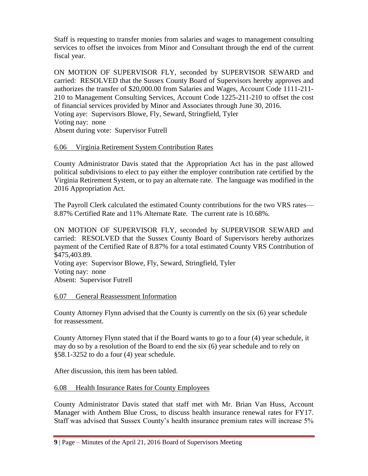Staff is requesting to transfer monies from salaries and wages to management consulting services to offset the invoices from Minor and Consultant through the end of the current fiscal year.

ON MOTION OF SUPERVISOR FLY, seconded by SUPERVISOR SEWARD and carried: RESOLVED that the Sussex County Board of Supervisors hereby approves and authorizes the transfer of \$20,000.00 from Salaries and Wages, Account Code 1111-211- 210 to Management Consulting Services, Account Code 1225-211-210 to offset the cost of financial services provided by Minor and Associates through June 30, 2016. Voting aye: Supervisors Blowe, Fly, Seward, Stringfield, Tyler Voting nay: none Absent during vote: Supervisor Futrell

## 6.06 Virginia Retirement System Contribution Rates

County Administrator Davis stated that the Appropriation Act has in the past allowed political subdivisions to elect to pay either the employer contribution rate certified by the Virginia Retirement System, or to pay an alternate rate. The language was modified in the 2016 Appropriation Act.

The Payroll Clerk calculated the estimated County contributions for the two VRS rates— 8.87% Certified Rate and 11% Alternate Rate. The current rate is 10.68%.

ON MOTION OF SUPERVISOR FLY, seconded by SUPERVISOR SEWARD and carried: RESOLVED that the Sussex County Board of Supervisors hereby authorizes payment of the Certified Rate of 8.87% for a total estimated County VRS Contribution of \$475,403.89.

Voting aye: Supervisor Blowe, Fly, Seward, Stringfield, Tyler Voting nay: none Absent: Supervisor Futrell

#### 6.07 General Reassessment Information

County Attorney Flynn advised that the County is currently on the six (6) year schedule for reassessment.

County Attorney Flynn stated that if the Board wants to go to a four (4) year schedule, it may do so by a resolution of the Board to end the six (6) year schedule and to rely on §58.1-3252 to do a four (4) year schedule.

After discussion, this item has been tabled.

## 6.08 Health Insurance Rates for County Employees

County Administrator Davis stated that staff met with Mr. Brian Van Huss, Account Manager with Anthem Blue Cross, to discuss health insurance renewal rates for FY17. Staff was advised that Sussex County's health insurance premium rates will increase 5%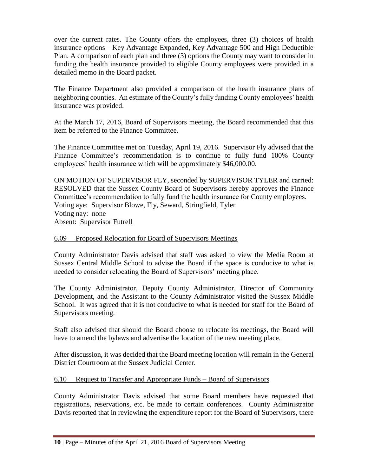over the current rates. The County offers the employees, three (3) choices of health insurance options—Key Advantage Expanded, Key Advantage 500 and High Deductible Plan. A comparison of each plan and three (3) options the County may want to consider in funding the health insurance provided to eligible County employees were provided in a detailed memo in the Board packet.

The Finance Department also provided a comparison of the health insurance plans of neighboring counties. An estimate of the County's fully funding County employees' health insurance was provided.

At the March 17, 2016, Board of Supervisors meeting, the Board recommended that this item be referred to the Finance Committee.

The Finance Committee met on Tuesday, April 19, 2016. Supervisor Fly advised that the Finance Committee's recommendation is to continue to fully fund 100% County employees' health insurance which will be approximately \$46,000.00.

ON MOTION OF SUPERVISOR FLY, seconded by SUPERVISOR TYLER and carried: RESOLVED that the Sussex County Board of Supervisors hereby approves the Finance Committee's recommendation to fully fund the health insurance for County employees. Voting aye: Supervisor Blowe, Fly, Seward, Stringfield, Tyler Voting nay: none Absent: Supervisor Futrell

#### 6.09 Proposed Relocation for Board of Supervisors Meetings

County Administrator Davis advised that staff was asked to view the Media Room at Sussex Central Middle School to advise the Board if the space is conducive to what is needed to consider relocating the Board of Supervisors' meeting place.

The County Administrator, Deputy County Administrator, Director of Community Development, and the Assistant to the County Administrator visited the Sussex Middle School. It was agreed that it is not conducive to what is needed for staff for the Board of Supervisors meeting.

Staff also advised that should the Board choose to relocate its meetings, the Board will have to amend the bylaws and advertise the location of the new meeting place.

After discussion, it was decided that the Board meeting location will remain in the General District Courtroom at the Sussex Judicial Center.

#### 6.10 Request to Transfer and Appropriate Funds – Board of Supervisors

County Administrator Davis advised that some Board members have requested that registrations, reservations, etc. be made to certain conferences. County Administrator Davis reported that in reviewing the expenditure report for the Board of Supervisors, there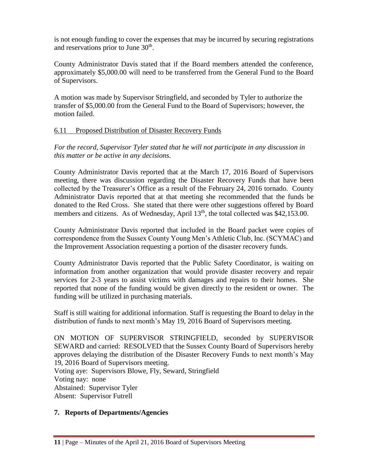is not enough funding to cover the expenses that may be incurred by securing registrations and reservations prior to June 30<sup>th</sup>.

County Administrator Davis stated that if the Board members attended the conference, approximately \$5,000.00 will need to be transferred from the General Fund to the Board of Supervisors.

A motion was made by Supervisor Stringfield, and seconded by Tyler to authorize the transfer of \$5,000.00 from the General Fund to the Board of Supervisors; however, the motion failed.

# 6.11 Proposed Distribution of Disaster Recovery Funds

*For the record, Supervisor Tyler stated that he will not participate in any discussion in this matter or be active in any decisions.*

County Administrator Davis reported that at the March 17, 2016 Board of Supervisors meeting, there was discussion regarding the Disaster Recovery Funds that have been collected by the Treasurer's Office as a result of the February 24, 2016 tornado. County Administrator Davis reported that at that meeting she recommended that the funds be donated to the Red Cross. She stated that there were other suggestions offered by Board members and citizens. As of Wednesday, April  $13<sup>th</sup>$ , the total collected was \$42,153.00.

County Administrator Davis reported that included in the Board packet were copies of correspondence from the Sussex County Young Men's Athletic Club, Inc. (SCYMAC) and the Improvement Association requesting a portion of the disaster recovery funds.

County Administrator Davis reported that the Public Safety Coordinator, is waiting on information from another organization that would provide disaster recovery and repair services for 2-3 years to assist victims with damages and repairs to their homes. She reported that none of the funding would be given directly to the resident or owner. The funding will be utilized in purchasing materials.

Staff is still waiting for additional information. Staff is requesting the Board to delay in the distribution of funds to next month's May 19, 2016 Board of Supervisors meeting.

ON MOTION OF SUPERVISOR STRINGFIELD, seconded by SUPERVISOR SEWARD and carried: RESOLVED that the Sussex County Board of Supervisors hereby approves delaying the distribution of the Disaster Recovery Funds to next month's May 19, 2016 Board of Supervisors meeting. Voting aye: Supervisors Blowe, Fly, Seward, Stringfield

Voting nay: none

Abstained: Supervisor Tyler

Absent: Supervisor Futrell

# **7. Reports of Departments/Agencies**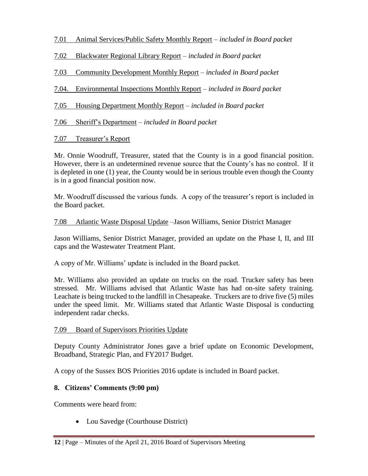- 7.01 Animal Services/Public Safety Monthly Report *included in Board packet*
- 7.02 Blackwater Regional Library Report *included in Board packet*
- 7.03 Community Development Monthly Report *included in Board packet*
- 7.04. Environmental Inspections Monthly Report *included in Board packet*
- 7.05 Housing Department Monthly Report *included in Board packet*
- 7.06 Sheriff's Department *included in Board packet*
- 7.07 Treasurer's Report

Mr. Onnie Woodruff, Treasurer, stated that the County is in a good financial position. However, there is an undetermined revenue source that the County's has no control. If it is depleted in one (1) year, the County would be in serious trouble even though the County is in a good financial position now.

Mr. Woodruff discussed the various funds. A copy of the treasurer's report is included in the Board packet.

7.08 Atlantic Waste Disposal Update –Jason Williams, Senior District Manager

Jason Williams, Senior District Manager, provided an update on the Phase I, II, and III caps and the Wastewater Treatment Plant.

A copy of Mr. Williams' update is included in the Board packet.

Mr. Williams also provided an update on trucks on the road. Trucker safety has been stressed. Mr. Williams advised that Atlantic Waste has had on-site safety training. Leachate is being trucked to the landfill in Chesapeake. Truckers are to drive five (5) miles under the speed limit. Mr. Williams stated that Atlantic Waste Disposal is conducting independent radar checks.

## 7.09 Board of Supervisors Priorities Update

Deputy County Administrator Jones gave a brief update on Economic Development, Broadband, Strategic Plan, and FY2017 Budget.

A copy of the Sussex BOS Priorities 2016 update is included in Board packet.

## **8. Citizens' Comments (9:00 pm)**

Comments were heard from:

• Lou Savedge (Courthouse District)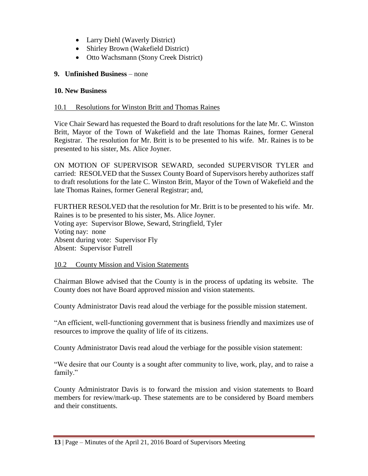- Larry Diehl (Waverly District)
- Shirley Brown (Wakefield District)
- Otto Wachsmann (Stony Creek District)

## **9. Unfinished Business** – none

#### **10. New Business**

#### 10.1 Resolutions for Winston Britt and Thomas Raines

Vice Chair Seward has requested the Board to draft resolutions for the late Mr. C. Winston Britt, Mayor of the Town of Wakefield and the late Thomas Raines, former General Registrar. The resolution for Mr. Britt is to be presented to his wife. Mr. Raines is to be presented to his sister, Ms. Alice Joyner.

ON MOTION OF SUPERVISOR SEWARD, seconded SUPERVISOR TYLER and carried: RESOLVED that the Sussex County Board of Supervisors hereby authorizes staff to draft resolutions for the late C. Winston Britt, Mayor of the Town of Wakefield and the late Thomas Raines, former General Registrar; and,

FURTHER RESOLVED that the resolution for Mr. Britt is to be presented to his wife. Mr. Raines is to be presented to his sister, Ms. Alice Joyner. Voting aye: Supervisor Blowe, Seward, Stringfield, Tyler Voting nay: none Absent during vote: Supervisor Fly Absent: Supervisor Futrell

#### 10.2 County Mission and Vision Statements

Chairman Blowe advised that the County is in the process of updating its website. The County does not have Board approved mission and vision statements.

County Administrator Davis read aloud the verbiage for the possible mission statement.

"An efficient, well-functioning government that is business friendly and maximizes use of resources to improve the quality of life of its citizens.

County Administrator Davis read aloud the verbiage for the possible vision statement:

"We desire that our County is a sought after community to live, work, play, and to raise a family."

County Administrator Davis is to forward the mission and vision statements to Board members for review/mark-up. These statements are to be considered by Board members and their constituents.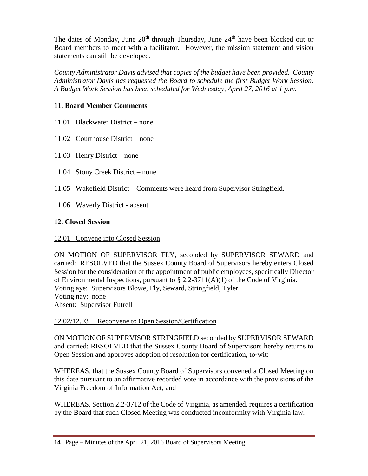The dates of Monday, June  $20<sup>th</sup>$  through Thursday, June  $24<sup>th</sup>$  have been blocked out or Board members to meet with a facilitator. However, the mission statement and vision statements can still be developed.

*County Administrator Davis advised that copies of the budget have been provided. County Administrator Davis has requested the Board to schedule the first Budget Work Session. A Budget Work Session has been scheduled for Wednesday, April 27, 2016 at 1 p.m.*

# **11. Board Member Comments**

- 11.01 Blackwater District none
- 11.02 Courthouse District none
- 11.03 Henry District none
- 11.04 Stony Creek District none
- 11.05 Wakefield District Comments were heard from Supervisor Stringfield.
- 11.06 Waverly District absent

# **12. Closed Session**

## 12.01 Convene into Closed Session

ON MOTION OF SUPERVISOR FLY, seconded by SUPERVISOR SEWARD and carried: RESOLVED that the Sussex County Board of Supervisors hereby enters Closed Session for the consideration of the appointment of public employees, specifically Director of Environmental Inspections, pursuant to  $\S 2.2-3711(A)(1)$  of the Code of Virginia. Voting aye: Supervisors Blowe, Fly, Seward, Stringfield, Tyler Voting nay: none Absent: Supervisor Futrell

## 12.02/12.03 Reconvene to Open Session/Certification

ON MOTION OF SUPERVISOR STRINGFIELD seconded by SUPERVISOR SEWARD and carried: RESOLVED that the Sussex County Board of Supervisors hereby returns to Open Session and approves adoption of resolution for certification, to-wit:

WHEREAS, that the Sussex County Board of Supervisors convened a Closed Meeting on this date pursuant to an affirmative recorded vote in accordance with the provisions of the Virginia Freedom of Information Act; and

WHEREAS, Section 2.2-3712 of the Code of Virginia, as amended, requires a certification by the Board that such Closed Meeting was conducted inconformity with Virginia law.